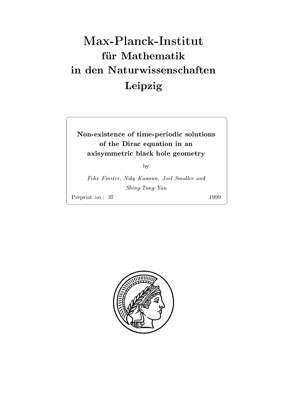# Max-Planck-Institut für Mathematik Leipzig

## Nonexistence of timeperiodic solutions of the Dirac equation in an axisten axisten black hole geometric black hole geometric black hole geometric black hole geometric black hole

by

 $I$  this Finster, Tring Kamran, Joel Dihohel and  $I$  $S$  . Since  $\mathcal{S}$   $\mathcal{S}$   $\mathcal{S}$   $\mathcal{S}$   $\mathcal{S}$   $\mathcal{S}$   $\mathcal{S}$   $\mathcal{S}$   $\mathcal{S}$   $\mathcal{S}$   $\mathcal{S}$   $\mathcal{S}$   $\mathcal{S}$   $\mathcal{S}$   $\mathcal{S}$   $\mathcal{S}$   $\mathcal{S}$   $\mathcal{S}$   $\mathcal{S}$   $\mathcal{S}$   $\mathcal{S}$   $\mathcal{S}$   $\mathcal{S}$   $\$ 

Preprint no.: 37

1999

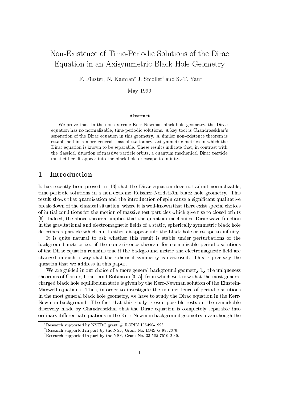# Non-Existence of Time-Periodic Solutions of the Dirac Equation in an Axisymmetric Black Hole Geometry

r . Finster, iv. Kamiran, J. Smoller, and S.-1, rau<sup>t</sup>

May 1999

## Abstract

We prove that, in the non-extreme Kerr-Newman black hole geometry, the Dirac equation has no normalizable timeperiodic solutions- A key tool is Chandrasekhars separation of the Dirac equation in this geometry- A similar nonexistence theorem is established in a more general class of stationary axisymmetric metrics in which the Dirac equation is known to be separable- These results indicate that in contrast with the classical situation of massive particle orbits a quantum mechanical Dirac particle must either disappear into the black hole or escape to infinity.

## Introduction

it it that the Dirac proved in - the Dirac equation does not admit not admit not admit not admit  $\alpha$ time-periodic solutions in a non-extreme Reissner-Nordström black hole geometry. This result shows that quantization and the introduction of spin cause a signicant qualitative break-down of the classical situation, where it is well-known that there exist special choices of initial conditions for the motion of massive test particles which give rise to closed orbits Indeed the above theorem implies that the quantum mechanical Dirac wave function in the gravitational and electromagnetic fields of a static, spherically symmetric black hole describes a particle which must either disappear into the black hole or escape to infinity.

It is quite natural to ask whether this result is stable under perturbations of the background metricity at the nonexistence theorem for no non-metric periodic solutions and all the normalizable of the Dirac equation remains true if the background metric and electromagnetic field are changed in such a way that the spherical symmetry is destroyed. This is precisely the question that we address in this paper

We are guided in our choice of a more general background geometry by the uniqueness theorems of  $\mathbf{C}$  and  $\mathbf{C}$  and  $\mathbf{C}$  and  $\mathbf{C}$  and  $\mathbf{C}$  and  $\mathbf{C}$  and  $\mathbf{C}$  and  $\mathbf{C}$  and  $\mathbf{C}$  and  $\mathbf{C}$  and  $\mathbf{C}$  and  $\mathbf{C}$  and  $\mathbf{C}$  and  $\mathbf{C}$  and  $\mathbf{C}$  and  $\mathbf{C}$  and charged black hole equilibrium state is given by the Kerr-Newman solution of the Einstein-Maxwell equations. Thus, in order to investigate the non-existence of periodic solutions in the most general black hole geometry, we have to study the Dirac equation in the Kerr-Newman background. The fact that this study is even possible rests on the remarkable discovery made by Chandrasekhar that the Dirac equation is completely separable into ordinary differential equations in the Kerr-Newman background geometry, even though the

Research supported by  $NSERC$  grant  $#KGPIN$  105490-1998.

 $\mu_{\rm{R}}$  is extended that the NSF areas No. DMS-G-9802370.

rkesearch supported in part by the INSF, Grant IVo. 33-585-7510-2-30.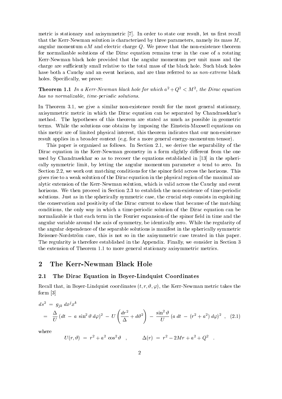metric is stationary and axisymmetric [7]. In order to state our result, let us first recall that the Kerr-Newman solution is characterized by three parameters, namely its mass  $M$ , angular momentum  $aM$  and electric charge  $Q$ . We prove that the non-existence theorem for normalizable solutions of the Dirac equation remains true in the case of a rotating Kerr-Newman black hole provided that the angular momentum per unit mass and the charge are sufficiently small relative to the total mass of the black hole. Such black holes have both a Cauchy and an event horizon, and are thus referred to as *non-extreme* black holes. Specifically, we prove:

**Theorem 1.1** In a Kerr-Newman black hole for which  $a^+ + Q^- < M^-$ , the Dirac equation has no normalizable, time-periodic solutions.

in Theorem 3.2, we give a similar nonexistence result for the most general stationary, axisymmetric metric in which the Dirac equation can be separated by Chandrasekhar's method. The hypotheses of this theorem are stated as much as possible in geometric terms. While the solutions one obtains by imposing the Einstein-Maxwell equations on this metric are of limited physical interest, this theorem indicates that our non-existence result applies in a broader context (e.g. for a more general energy-momentum tensor).

This paper is organized as follows. In Section 2.1, we derive the separability of the Dirac equation in the Kerr-Newman geometry in a form slightly different from the one used by Chandrasekhar so as to recover the equations established in - in the spheri cally symmetric limit, by letting the angular momentum parameter  $a$  tend to zero. In Section 2.2, we work out matching conditions for the spinor field across the horizons. This gives rise to a weak solution of the Dirac equation in the physical region of the maximal an alytic extension of the Kerr-Newman solution, which is valid across the Cauchy and event horizons We then proceed in Section - to establish the nonexistence of timeperiodic solutions. Just as in the spherically symmetric case, the crucial step consists in exploiting the conservation and positivity of the Dirac current to show that because of the matching conditions the only way in which a timeperiodic solution of the Dirac equation can be normalizable is that each term in the Fourier expansion of the spinor field in time and the angular variable around the axis of symmetry be identically zero While the regularity of the angular dependence of the separable solutions is manifest in the spherically symmetric Reissner-Nordström case, this is not so in the axisymmetric case treated in this paper. The regularity is therefore established in the Appendix. Finally, we consider in Section 3 the extension of Theorem 1.1 to more general stationary axisymmetric metrics.

## $\overline{2}$

#### $2.1$ The Dirac Equation in Boyer-Lindquist Coordinates

Recover that is boyer boxer and in Boyer Lind and the Kerry Linda of the Kerry and the Kerry takes the Kerry C  $f(x) = f(x) - f(x)$  . The same of  $f(x)$ 

$$
ds^{2} = g_{jk} dx^{j} x^{k}
$$
  
=  $\frac{\Delta}{U} (dt - a \sin^{2} \theta d\varphi)^{2} - U \left( \frac{dr^{2}}{\Delta} + d\theta^{2} \right) - \frac{\sin^{2} \theta}{U} (a dt - (r^{2} + a^{2}) d\varphi)^{2}$ , (2.1)

where

$$
U(r,\vartheta) \;=\; r^2 + a^2\,\cos^2\vartheta \quad , \hspace{1cm} \Delta(r) \;=\; r^2 - 2Mr + a^2 + Q^2 \quad .
$$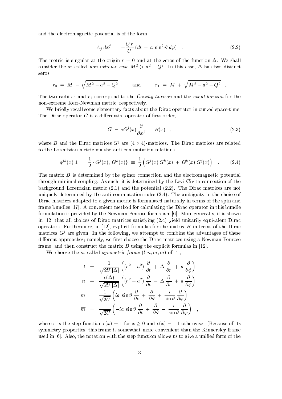and the electromagnetic potential is of the form

$$
A_j dx^j = -\frac{Q r}{U} (dt - a \sin^2 \vartheta d\varphi) \quad . \tag{2.2}
$$

The metric is singular at the origin  $r = 0$  and at the zeros of the function  $\Delta$ . We shall consider the so-called *non-extreme case M*  $> a + Q$ . In this case,  $\Delta$  has two distinct zeros

$$
r_0 \; = \; M \; - \; \sqrt{M^2 - a^2 - Q^2} \qquad \quad \text{and} \qquad \quad r_1 \; = \; M \; + \; \sqrt{M^2 - a^2 - Q^2} \quad .
$$

The two radial  $\alpha$  and r-corresponding to the event  $\alpha$  and  $\alpha$ non-extreme Kerr-Newman metric, respectively.

We briefly recall some elementary facts about the Dirac operator in curved space-time. The Dirac operator  $G$  is a differential operator of first order,

$$
G = iG^{j}(x)\frac{\partial}{\partial x^{j}} + B(x) , \qquad (2.3)
$$

where B and the Dirac matrices  $G^j$  are  $(4 \times 4)$ -matrices. The Dirac matrices are related to the Lorentzian metric via the anti-commutation relations

$$
g^{jk}(x) \mathbf{1} = \frac{1}{2} \left\{ G^{j}(x), \ G^{k}(x) \right\} \equiv \frac{1}{2} \left( G^{j}(x) \ G^{k}(x) \ + \ G^{k}(x) \ G^{j}(x) \right) \quad . \tag{2.4}
$$

The matrix  $B$  is determined by the spinor connection and the electromagnetic potential through minimal coupling. As such, it is determined by the Levi-Civita connection of the background Lorentzian metric  $(2.1)$  and the potential  $(2.2)$ . The Dirac matrices are not uniquely determined by the anti-commutation rules  $(2.4)$ . The ambiguity in the choice of Dirac matrices adapted to a given metric is formulated naturally in terms of the spin and frame bundles [17]. A convenient method for calculating the Dirac operator in this bundle formulation is provided by the Newman-Penrose formalism  $[6]$ . More generally, it is shown in  $\left[12\right]$  that all choices of Dirac matrices satisfying  $\left(2.4\right)$  yield unitarily equivalent Dirac operators. Furthermore, in  $[12]$ , explicit formulas for the matrix B in terms of the Dirac matrices  $G<sup>j</sup>$  are given. In the following, we attempt to combine the advantages of these dierent approaches namely we rst choose the Dirac matrices using a NewmanPenrose frame, and then construct the matrix  $B$  using the explicit formulas in [12].

We choose the so-called *symmetric frame*  $(l, n, m, \overline{m})$  of [4],

$$
l = \frac{1}{\sqrt{2U |\Delta|}} \left( (r^2 + a^2) \frac{\partial}{\partial t} + \Delta \frac{\partial}{\partial r} + a \frac{\partial}{\partial \phi} \right)
$$
  
\n
$$
n = \frac{\epsilon(\Delta)}{\sqrt{2U |\Delta|}} \left( (r^2 + a^2) \frac{\partial}{\partial t} - \Delta \frac{\partial}{\partial r} + a \frac{\partial}{\partial \phi} \right)
$$
  
\n
$$
m = \frac{1}{\sqrt{2U}} \left( ia \sin \vartheta \frac{\partial}{\partial t} + \frac{\partial}{\partial \vartheta} + \frac{i}{\sin \vartheta} \frac{\partial}{\partial \varphi} \right)
$$
  
\n
$$
\overline{m} = \frac{1}{\sqrt{2U}} \left( -ia \sin \vartheta \frac{\partial}{\partial t} + \frac{\partial}{\partial \vartheta} - \frac{i}{\sin \vartheta} \frac{\partial}{\partial \varphi} \right) ,
$$

where  $\epsilon$  is the step function  $\epsilon(x) = 1$  for  $x \geq 0$  and  $\epsilon(x) = -1$  otherwise. (Because of its symmetry properties, this frame is somewhat more convenient than the Kinnersley frame used in  $[6]$ . Also, the notation with the step function allows us to give a unified form of the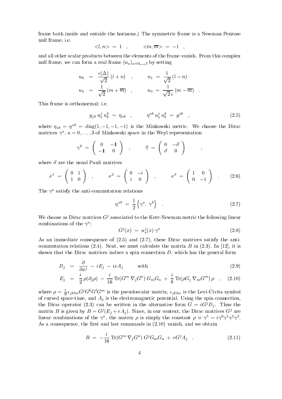frame both inside and outside the horizons.) The symmetric frame is a Newman-Penrose **number of the second of the second contract of the second contract of the second contract of the second contra** 

$$
\langle l, n \rangle = 1 \quad , \qquad \langle m, \overline{m} \rangle = -1 \quad ,
$$

and all other scalar products between the elements of the frame vanish. From this complex null frame, we can form a real frame  $(u_a)_{a=0,\dots,3}$  by setting

$$
u_0 = \frac{\epsilon(\Delta)}{\sqrt{2}} (l+n) , \qquad u_1 = \frac{1}{\sqrt{2}} (l-n) u_2 = \frac{1}{\sqrt{2}} (m + \overline{m}) , \qquad u_3 = \frac{1}{\sqrt{2} i} (m - \overline{m}) .
$$

This frame is orthonormal ie

$$
g_{jk} \; u_a^j \; u_b^k \; = \; \eta_{ab} \quad , \qquad \eta^{ab} \; u_a^j \; u_b^k \; = \; g^{jk} \quad , \tag{2.5}
$$

where  $\eta_{ab} = \eta^{ab} = \text{diag}(1, -1, -1, -1)$  is the Minkowski metric. We choose the Dirac matrices  $\gamma$ ,  $a = 0, \ldots, 3$  of Minkowski space in the Weyl representation

$$
\gamma^0 = \left( \begin{array}{cc} 0 & -1 \\ -1 & 0 \end{array} \right) , \qquad \vec{\gamma} = \left( \begin{array}{cc} 0 & -\vec{\sigma} \\ \vec{\sigma} & 0 \end{array} \right) ,
$$

where  $\vec{\sigma}$  are the usual Pauli matrices

$$
\sigma^1 = \begin{pmatrix} 0 & 1 \\ 1 & 0 \end{pmatrix} , \qquad \sigma^2 = \begin{pmatrix} 0 & -i \\ i & 0 \end{pmatrix} , \qquad \sigma^3 = \begin{pmatrix} 1 & 0 \\ 0 & -1 \end{pmatrix} . \qquad (2.6)
$$

The  $\gamma$  satisfy the anti-commutation relations

$$
\eta^{ab} = \frac{1}{2} \left\{ \gamma^a, \gamma^b \right\} \tag{2.7}
$$

We choose as Dirac matrices  $G^{j}$  associated to the Kerr-Newman metric the following linear compinations of the  $\gamma$  :

$$
G^{j}(x) = u_{a}^{j}(x) \gamma^{a} \qquad (2.8)
$$

As an immediate consequence of  $(2.5)$  and  $(2.7)$ , these Dirac matrices satisfy the anticommutation relations Next <sub>1</sub> it is in it is next also in a matrix B in an it is a property at an in shown that the Dirac matrices induce a spin connection  $D$ , which has the general form

$$
D_j = \frac{\partial}{\partial x^j} - iE_j - ieA_j \qquad \text{with} \qquad (2.9)
$$

$$
E_j = \frac{i}{2} \rho(\partial_j \rho) - \frac{i}{16} \operatorname{Tr} (G^m \nabla_j G^n) G_m G_n + \frac{i}{8} \operatorname{Tr} (\rho G_j \nabla_m G^m) \rho , \quad (2.10)
$$

where  $\rho = \frac{1}{4!} \epsilon_{jklm} G^j G^i G^i G^m$  is the pseudoscalar matrix,  $\epsilon_{jklm}$  is the Levi-Civita symbol of curved space-time, and  $A_i$  is the electromagnetic potential. Using the spin connection, the Dirac operator (2.3) can be written in the alternative form  $G = iG/D_i$ . Thus the matrix B is given by  $B = G^{j}(E_j + eA_j)$ . Since, in our context, the Dirac matrices  $G^{j}$  are imear combinations of the  $\gamma$ , the matrix  $\rho$  is simply the constant  $\rho = \gamma = i \gamma \gamma \gamma \gamma$ . As a consequence, the first and last summands in  $(2.10)$  vanish, and we obtain

$$
B = -\frac{i}{16} \operatorname{Tr} (G^m \nabla_j G^n) G^j G_m G_n + eG^j A_j . \qquad (2.11)
$$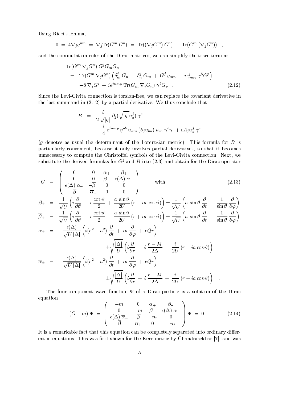Using Ricci's lemma,

$$
0 = 4\nabla_j g^{mn} = \nabla_j \text{Tr}(G^m G^n) = \text{Tr}((\nabla_j G^m) G^n) + \text{Tr}(G^m (\nabla_j G^n)) ,
$$

and the commutation rules of the Dirac matrices we can simplify the trace term as

$$
\operatorname{Tr}(G^m \nabla_j G^n) G^j G_m G_n
$$
\n
$$
= \operatorname{Tr}(G^m \nabla_j G^n) \left( \delta_m^j G_n - \delta_n^j G_m + G^j g_{mn} + i \epsilon_{mnp}^j \gamma^5 G^p \right)
$$
\n
$$
= -8 \nabla_j G^j + i \epsilon^{j mnp} \operatorname{Tr}(G_m \nabla_j G_n) \gamma^5 G_p . \tag{2.12}
$$

Since the Levi-Civita connection is torsion-free, we can replace the covariant derivative in the last summand in  $(2.12)$  by a partial derivative. We thus conclude that

$$
B = \frac{i}{2\sqrt{|g|}} \partial_j(\sqrt{|g|} u_a^j) \gamma^a
$$
  
 
$$
- \frac{i}{4} \epsilon^{jmnp} \eta^{ab} u_{am} (\partial_j u_{bn}) u_{cn} \gamma^5 \gamma^c + e A_j u_a^j \gamma^a
$$

 $(g$  denotes as usual the determinant of the Lorentzian metric). This formula for  $B$  is particularly convenient, because it only involves partial derivatives, so that it becomes unnecessary to compute the Christoffel symbols of the Levi-Civita connection. Next, we substitute the derived formulas for  $G'$  and  $D$  into (2.5) and obtain for the Dirac operator

$$
G = \begin{pmatrix} 0 & 0 & \alpha_+ & \beta_+ \\ 0 & 0 & \beta_- & \epsilon(\Delta) \alpha_- \\ \epsilon(\Delta) \overline{\alpha}_- & -\overline{\beta}_+ & 0 & 0 \\ -\overline{\beta}_- & \overline{\alpha}_+ & 0 & 0 \end{pmatrix} \text{ with } (2.13)
$$

$$
\beta_{\pm} = \frac{1}{\sqrt{U}} \left( i \frac{\partial}{\partial \theta} + i \frac{\cot \theta}{2} + \frac{a \sin \theta}{2U} (r - ia \cos \theta) \right) \pm \frac{1}{\sqrt{U}} \left( a \sin \theta \frac{\partial}{\partial t} + \frac{1}{\sin \theta} \frac{\partial}{\partial \varphi} \right)
$$
\n
$$
\overline{\beta}_{\pm} = \frac{1}{\sqrt{U}} \left( i \frac{\partial}{\partial \theta} + i \frac{\cot \theta}{2} - \frac{a \sin \theta}{2U} (r + ia \cos \theta) \right) \pm \frac{1}{\sqrt{U}} \left( a \sin \theta \frac{\partial}{\partial t} + \frac{1}{\sin \theta} \frac{\partial}{\partial \varphi} \right)
$$
\n
$$
\alpha_{\pm} = -\frac{\epsilon(\Delta)}{\sqrt{U |\Delta|}} \left( i (r^2 + a^2) \frac{\partial}{\partial t} + ia \frac{\partial}{\partial \varphi} + eQr \right)
$$
\n
$$
\pm \sqrt{\frac{|\Delta|}{U}} \left( i \frac{\partial}{\partial r} + i \frac{r - M}{2\Delta} + \frac{i}{2U} (r - ia \cos \theta) \right)
$$
\n
$$
\overline{\alpha}_{\pm} = -\frac{\epsilon(\Delta)}{\sqrt{U |\Delta|}} \left( i (r^2 + a^2) \frac{\partial}{\partial t} + ia \frac{\partial}{\partial \varphi} + eQr \right)
$$
\n
$$
\pm \sqrt{\frac{|\Delta|}{U}} \left( i \frac{\partial}{\partial r} + i \frac{r - M}{2\Delta} + \frac{i}{2U} (r + ia \cos \theta) \right) .
$$

The four-component wave function  $\Psi$  of a Dirac particle is a solution of the Dirac equation

$$
(G-m)\Psi = \begin{pmatrix} -m & 0 & \alpha_+ & \beta_+ \\ 0 & -m & \beta_- & \epsilon(\Delta)\alpha_- \\ \epsilon(\Delta)\overline{\alpha}_- & -\overline{\beta}_+ & -m & 0 \\ -\overline{\beta}_- & \overline{\alpha}_+ & 0 & -m \end{pmatrix} \Psi = 0 \quad . \tag{2.14}
$$

It is a remarkable fact that this equation can be completely separated into ordinary differential equations. This was first shown for the Kerr metric by Chandrasekhar [7], and was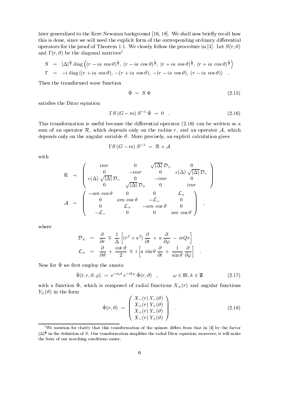later generalized to the Kerr-Newman background  $[16, 18]$ . We shall now briefly recall how this is done, since we will need the explicit form of the corresponding ordinary differential operators for the proof of Theorem We closely follow the procedure in Let Sr and  $r, v$  be the diagonal matrices

$$
S = |\Delta|^{\frac{1}{4}} \operatorname{diag} \left( (r - ia \cos \vartheta)^{\frac{1}{2}}, (r - ia \cos \vartheta)^{\frac{1}{2}}, (r + ia \cos \vartheta)^{\frac{1}{2}}, (r + ia \cos \vartheta)^{\frac{1}{2}} \right)
$$
  

$$
\Gamma = -i \operatorname{diag} ((r + ia \cos \vartheta), -(r + ia \cos \vartheta), -(r - ia \cos \vartheta), (r - ia \cos \vartheta))
$$

Then the transformed wave function

$$
\hat{\Psi} = S \Psi \tag{2.15}
$$

satisfies the Dirac equation

$$
\Gamma S \left( G - m \right) S^{-1} \, \hat{\Psi} = 0 \tag{2.16}
$$

This transformation is useful because the differential operator  $(2.16)$  can be written as a sum of an operator  $\mathcal{R}$ , which depends only on the radius r, and an operator  $\mathcal{A}$ , which depends only on the angular variable - More precisely an explicit calculation gives

$$
\Gamma S\left(G-m\right)S^{-1}~=~\mathcal{R}+\mathcal{A}
$$

with

$$
\mathcal{R} = \begin{pmatrix} imr & 0 & \sqrt{|\Delta|} \ \mathcal{D}_+ & 0 \\ 0 & -imr & 0 & \epsilon(\Delta) \sqrt{|\Delta|} \ \mathcal{D}_- \\ \epsilon(\Delta) \sqrt{|\Delta|} \ \mathcal{D}_- & 0 & -imr & 0 \\ 0 & \sqrt{|\Delta|} \ \mathcal{D}_+ & 0 & imr \end{pmatrix}
$$

$$
\mathcal{A} = \begin{pmatrix} -am\cos\vartheta & 0 & 0 & \mathcal{L}_+ \\ 0 & am\cos\vartheta & -\mathcal{L}_- & 0 \\ 0 & \mathcal{L}_+ & -am\cos\vartheta & 0 \\ -\mathcal{L}_- & 0 & 0 & am\cos\vartheta \end{pmatrix} ,
$$

where

$$
\mathcal{D}_{\pm} = \frac{\partial}{\partial r} \mp \frac{1}{\Delta} \left[ (r^2 + a^2) \frac{\partial}{\partial t} + a \frac{\partial}{\partial \varphi} - ieQr \right]
$$
  

$$
\mathcal{L}_{\pm} = \frac{\partial}{\partial \vartheta} + \frac{\cot \vartheta}{2} \mp i \left[ a \sin \vartheta \frac{\partial}{\partial t} + \frac{1}{\sin \vartheta} \frac{\partial}{\partial \varphi} \right]
$$

 $N$  row for  $\bm{x}$  we mist employ the ansatz

$$
\hat{\Psi}(t,r,\vartheta,\varphi) = e^{-i\omega t} e^{-ik\varphi} \hat{\Phi}(r,\vartheta) , \qquad \omega \in \mathbb{R}, k \in \mathbb{Z}
$$
 (2.17)

with a function  $\mathbf{v}$ , which is composed of radial functions  $\Lambda \pm (t)$  and angular functions Y-- in the form

$$
\hat{\Phi}(r,\vartheta) = \begin{pmatrix} X_{-}(r) Y_{-}(\vartheta) \\ X_{+}(r) Y_{+}(\vartheta) \\ X_{+}(r) Y_{-}(\vartheta) \\ X_{-}(r) Y_{+}(\vartheta) \end{pmatrix} . \tag{2.18}
$$

 $\mathcal{L}$  and  $\mathcal{L}$  are the set of  $\mathcal{L}$  and  $\mathcal{L}$  are the set of  $\mathcal{L}$ 

<sup>&</sup>lt;sup>1</sup>We mention for clarity that this transformation of the spinors differs from that in [4] by the factor  $|\Delta|^{\frac{1}{4}}$  in the definition of S. Our transformation simplifies the radial Dirac equation; moreover, it will make the form of our matching conditions easier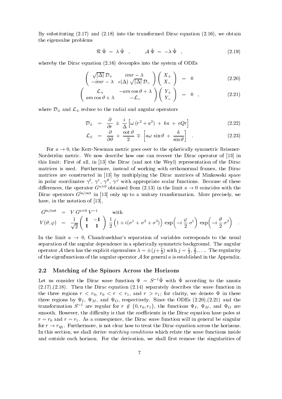By substituting  $(2.17)$  and  $(2.18)$  into the transformed Dirac equation  $(2.16)$ , we obtain the eigenvalue problems

$$
\mathcal{R}\,\hat{\Psi} = \lambda\,\hat{\Psi} \quad , \qquad \mathcal{A}\,\hat{\Psi} = -\lambda\,\hat{\Psi} \quad , \tag{2.19}
$$

whereby the Dirac equation  $(2.16)$  decouples into the system of ODEs

$$
\begin{pmatrix}\n\sqrt{|\Delta|} \mathcal{D}_+ & imr - \lambda \\
-imr - \lambda & \epsilon(\Delta) \sqrt{|\Delta|} \mathcal{D}_-\n\end{pmatrix}\n\begin{pmatrix}\nX_+ \\
X_-\n\end{pmatrix} = 0
$$
\n(2.20)

$$
\begin{pmatrix}\n\mathcal{L}_{+} & -am\cos\vartheta + \lambda \\
am\cos\vartheta + \lambda & -\mathcal{L}_{-}\n\end{pmatrix}\n\begin{pmatrix}\nY_{+} \\
Y_{-}\n\end{pmatrix} = 0 , \qquad (2.21)
$$

where  $\pm$  reduce to the radial and and and and angular operators and angular operators operators and angular operators operators and angular operators and angular operators and angular operators and angular operators and

$$
\mathcal{D}_{\pm} = \frac{\partial}{\partial r} \pm \frac{i}{\Delta} \left[ \omega (r^2 + a^2) + ka + eQr \right] \tag{2.22}
$$

$$
\mathcal{L}_{\pm} = \frac{\partial}{\partial \vartheta} + \frac{\cot \vartheta}{2} \mp \left[ a\omega \sin \vartheta + \frac{k}{\sin \vartheta} \right] \quad . \tag{2.23}
$$

For  $a \to 0$ , the Kerr-Newman metric goes over to the spherically symmetric Reissner-Nordstrom metric We now describe how one can recover the Dirac operator of - in this limit First of all in - the Dirac and not the Weyl representation of the Dirac matrices is used. Furthermore, instead of working with orthonormal frames, the Dirac matrices are constructed in - by multiplying the Dirac matrices of Minkowski space in polar coordinates  $\gamma$ ,  $\gamma$ ,  $\gamma$ ,  $\gamma$ ,  $\gamma$  with appropriate scalar functions. Because of these differences, the operator G<sup>ara</sup> obtained from (2.15) in the limit  $a \rightarrow 0$  coincides with the Dirac operators  $G^{-\alpha}$  in [15] only up to a unitary transformation. More precisely, we have in the notation of -

$$
G^{\text{in/out}} = V G^{a=0} V^{-1} \quad \text{with}
$$
  

$$
V(\vartheta, \varphi) = \frac{1}{\sqrt{2}} \begin{pmatrix} 1 & -1 \\ 1 & 1 \end{pmatrix} \frac{1}{2} \left( 1 + i(\sigma^1 + \sigma^2 + \sigma^3) \right) \exp\left( -i \frac{\varphi}{2} \sigma^1 \right) \exp\left( -i \frac{\vartheta}{2} \sigma^2 \right) .
$$

In the limit  $a \to 0$ , Chandrasekhar's separation of variables corresponds to the usual separation of the angular dependence in a spherically symmetric background. The angular operator A then has the explicit eigenvalues  $\lambda = \pm(\gamma + \frac{1}{2})$  with  $\gamma = \frac{1}{2}, \frac{1}{2}, \ldots$ . The regularity of the eigenfunctions of the angular operator <sup>A</sup> for general a is established in the Appendix

## 2.2 Matching of the Spinors Across the Horizons

Let us consider the Dirac wave function  $\Psi = S^{-1} \Psi$  with  $\Psi$  according to the ansatz  $(2.17), (2.18)$ . Then the Dirac equation  $(2.14)$  separately describes the wave function in the three regions <sup>r</sup> r r <sup>r</sup> r- and r r- for clarity we denote in these three regions by  $\Psi_I$ ,  $\Psi_M$ , and  $\Psi_O$ , respectively. Since the ODEs (2.20), (2.21) and the transformation  $S$  - are regular for  $r \notin \{0, r_0, r_1\}$ , the functions  $\Psi_I$ ,  $\Psi_M$ , and  $\Psi_O$  are smooth. However, the difficulty is that the coefficients in the Dirac equation have poles at r and respectively in the Statement consequence the Dirac will induce the Dirac will indeed the singular consequence for region for regions to transmiss the  $\mathbf{r}_1$ In this section, we shall derive *matching conditions* which relate the wave functions inside and outside each horizon. For the derivation, we shall first remove the singularities of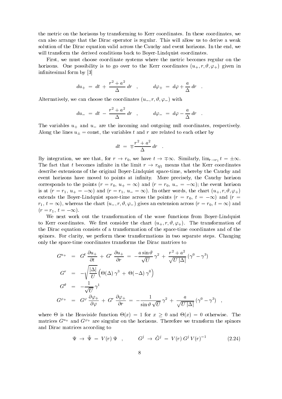the metric on the horizons by transforming to Kerr coordinates. In these coordinates, we can also arrange that the Dirac operator is regular. This will allow us to derive a weak solution of the Dirac equation valid across the Cauchy and event horizons. In the end, we will transform the derived conditions back to Boyer-Lindquist coordinates.

First, we must choose coordinate systems where the metric becomes regular on the horizons One possibility is to go over to the Kerr coordinates u r - given in innitesimal form by -

$$
du_{+} = dt + \frac{r^2 + a^2}{\Delta} dr , \qquad d\varphi_{+} = d\varphi + \frac{a}{\Delta} dr .
$$

Alternative language that alternatively were considered using the coordinates using the coordinates using the coordinates of the coordinates of the coordinates of the coordinates of the coordinates of the coordinates of th

$$
du_{-} \; = \; dt \; - \; \frac{r^2 + a^2}{\Delta} \, dr \quad , \qquad d\varphi_{-} \; = \; d\varphi - \frac{a}{\Delta} \, dr \quad .
$$

The variables  $u_{+}$  and  $u_{-}$  are the incoming and outgoing null coordinates, respectively. Along the lines u- const the variables <sup>t</sup> and <sup>r</sup> are related to each other by

$$
dt = \mp \frac{r^2 + a^2}{\Delta} dr .
$$

By integration, we see that, for  $r \to r_0$ , we have  $t \to \pm \infty$ . Similarly,  $\lim_{r \to r_1} t = \pm \infty$ .  $\mathbf{u}$ describe extensions of the original Boyer-Lindquist space-time, whereby the Cauchy and event horizons have moved to points at infinity. More precisely, the Cauchy horizon corresponds to the points responds to the points responds responds to the event horizon  $\mathcal{L}$ is a region of the chart up to the chart up to the chart up to the chart up to  $\mathbf{u}$ extends the Boyer-Lindquist space-time across the points  $(r = r_0, t = -\infty)$  and  $(r =$ rian to a chart under the chart unit where the chart chart use  $\alpha$  and  $\alpha$  and  $\alpha$  $r$  represents the term of  $r$  is the term of  $r$  is the term of  $r$  is the term of  $r$ 

We next work out the transformation of the wave functions from Boyer-Lindquist to Kerr coordinates We recover the chart use  $N$  -recovered the chart use  $N$  -recovered to  $\mathbb{R}^n$ the Dirac equation consists of a transformation of the space-time coordinates and of the spinors. For clarity, we perform these transformations in two separate steps. Changing only the space-time coordinates transforms the Dirac matrices to

$$
G^{u_{+}} = G^{t} \frac{\partial u_{+}}{\partial t} + G^{r} \frac{\partial u_{+}}{\partial r} = -\frac{a \sin \vartheta}{\sqrt{U}} \gamma^{2} + \frac{r^{2} + a^{2}}{\sqrt{U |\Delta|}} (\gamma^{0} - \gamma^{3})
$$
  
\n
$$
G^{r} = -\sqrt{\frac{|\Delta|}{U}} (\Theta(\Delta) \gamma^{3} + \Theta(-\Delta) \gamma^{0})
$$
  
\n
$$
G^{\vartheta} = -\frac{1}{\sqrt{U}} \gamma^{1}
$$
  
\n
$$
G^{\varphi_{+}} = G^{\varphi} \frac{\partial \varphi_{+}}{\partial \varphi} + G^{r} \frac{\partial \varphi_{+}}{\partial r} = -\frac{1}{\sin \vartheta \sqrt{U}} \gamma^{2} + \frac{a}{\sqrt{U |\Delta|}} (\gamma^{0} - \gamma^{3}) ,
$$

where  $\Theta$  is the Heaviside function  $\Theta(x) = 1$  for  $x \geq 0$  and  $\Theta(x) = 0$  otherwise. The matrices  $G^{++}$  and  $G^{++}$  are singular on the horizons. Therefore we transform the spinors and Dirac matrices according to

$$
\Psi \rightarrow \tilde{\Psi} = V(r) \Psi , \qquad G^j \rightarrow \tilde{G}^j = V(r) G^j V(r)^{-1} \qquad (2.24)
$$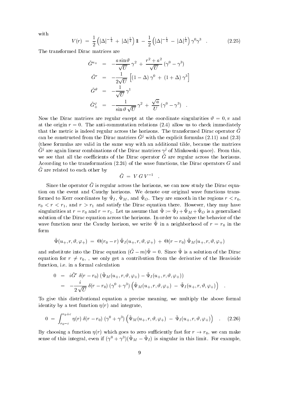with

$$
V(r) = \frac{1}{2} \left( |\Delta|^{-\frac{1}{4}} + |\Delta|^{\frac{1}{4}} \right) 1 - \frac{1}{2} \left( |\Delta|^{-\frac{1}{4}} - |\Delta|^{\frac{1}{4}} \right) \gamma^0 \gamma^3 \quad . \tag{2.25}
$$

The transformed Dirac matrices are

$$
\tilde{G}^{u+} = -\frac{a \sin \vartheta}{\sqrt{U}} \gamma^2 + \frac{r^2 + a^2}{\sqrt{U}} (\gamma^0 - \gamma^3)
$$
  
\n
$$
\tilde{G}^r = -\frac{1}{2\sqrt{U}} \left[ (1 - \Delta) \gamma^0 + (1 + \Delta) \gamma^3 \right]
$$
  
\n
$$
\tilde{G}^\vartheta = -\frac{1}{\sqrt{U}} \gamma^1
$$
  
\n
$$
\tilde{G}^\varphi_+ = -\frac{1}{\sin \vartheta \sqrt{U}} \gamma^2 + \frac{\sqrt{a}}{U} (\gamma^0 - \gamma^3) .
$$

 $N$ at the origin  $r = 0$ . The anti-commutation relations (2.4) allow us to check immediately that the metric is indeed regular across the horizons. The transformed Dirac operator  $G$ can be constructed from the Dirac matrices  $G'$  with the explicit formulas (2.11) and (2.5) (these formulas are valid in the same way with an additional tilde, because the matrices  $G<sup>j</sup>$  are again imear combinations of the Dirac matrices  $\gamma<sup>j</sup>$  of Minkowski space). From this, we see that all the coefficients of the Dirac operator G are regular across the horizons. According to the transformation  $(2.24)$  of the wave functions, the Dirac operators G and G! are related to each other by

$$
\tilde{G} \ = \ V \ G \ V^{-1} \quad .
$$

Since the operator G! is regular across the horizons we can now study the Dirac equa tion on the event and Cauchy horizons. We denote our original wave functions transformed to Kerr coordinates by  $\Psi I$ ,  $\Psi M$ , and  $\Psi O$ . They are smooth in the regions  $r \le r_0$ , r <sup>r</sup> r- and r r- and satisfy the Dirac equation there However they may have singularities at  $r = r_0$  and  $r = r_1$ . Let us assume that  $\mathscr{L} := \mathscr{L}_I \top \mathscr{L}_M \top \mathscr{L}_U$  is a generalized solution of the Dirac equation across the horizons. In order to analyze the behavior of the wave function frear the Cauchy florizon, we write  $\bm{x}$  in a neighborhood of  $r = r_0$  in the form

$$
\tilde{\Psi} (u_+,r,\vartheta,\varphi_+) \,\,=\,\, \Theta (r_0 - r)\,\tilde{\Psi}_I (u_+,r,\vartheta,\varphi_+) \,\,+\,\, \Theta (r - r_0)\,\tilde{\Psi}_M (u_+,r,\vartheta,\varphi_+) \qquad
$$

and substitute into the Dirac equation  $(G = m) \mathcal{L} = 0$ . Since  $\mathcal{L}$  is a solution of the Dirac equation for  $r \neq r_0$ , we only get a contribution from the derivative of the Heaviside function, i.e. in a formal calculation

$$
0 = i\tilde{G}^r \delta(r - r_0) (\tilde{\Psi}_M(u_+, r, \vartheta, \varphi_+) - \tilde{\Psi}_I(u_+, r, \vartheta, \varphi_+))
$$
  
= 
$$
-\frac{i}{2\sqrt{U}} \delta(r - r_0) (\gamma^0 + \gamma^3) (\tilde{\Psi}_M(u_+, r, \vartheta, \varphi_+) - \tilde{\Psi}_I(u_+, r, \vartheta, \varphi_+))
$$

To give this distributional equation a precise meaning we multiply the above formal identity by a test function  $\eta(r)$  and integrate,

$$
0 = \int_{r_0-\varepsilon}^{r_0+\varepsilon} \eta(r) \,\delta(r-r_0) \left(\gamma^0+\gamma^3\right) \left(\tilde{\Psi}_M(u_+,r,\vartheta,\varphi_+) - \tilde{\Psi}_I(u_+,r,\vartheta,\varphi_+)\right) \quad . \tag{2.26}
$$

By choosing a function  $\eta(r)$  which goes to zero sufficiently fast for  $r \to r_0$ , we can make sense of this integral, even if  $(\gamma^* + \gamma^*) (\Psi_M - \Psi_I)$  is singular in this limit. For example,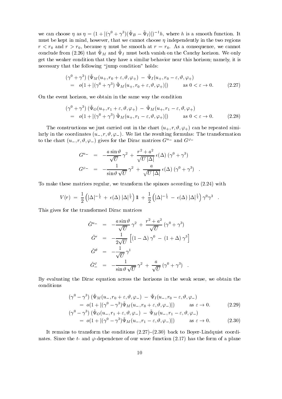we can choose  $\eta$  as  $\eta = (1 + |(\gamma^* + \gamma^*)| \Psi_B - \Psi_I)| - n$ , where h is a smooth function. It must be kept in mind, however, that we cannot choose  $\eta$  independently in the two regions  $r < r_0$  and  $r > r_0$ , because  $\eta$  must be smooth at  $r = r_0$ . As a consequence, we cannot conclude from  $(z, z_0)$  that  $\star$   $\chi$  and  $\star$   $\chi$  must both vanish on the Cauchy horizon. We only get the weaker condition that they have a similar behavior near this horizon namely it is necessary that the following "jump condition" holds:

$$
(\gamma^{0} + \gamma^{3}) (\tilde{\Psi}_{M}(u_{+}, r_{0} + \varepsilon, \vartheta, \varphi_{+}) - \tilde{\Psi}_{I}(u_{+}, r_{0} - \varepsilon, \vartheta, \varphi_{+})
$$
  
=  $o(1 + |(\gamma^{0} + \gamma^{3}) \tilde{\Psi}_{M}(u_{+}, r_{0} + \varepsilon, \vartheta, \varphi_{+})|)$  as  $0 < \varepsilon \to 0$ . (2.27)

On the event horizon, we obtain in the same way the condition

$$
(\gamma^0 + \gamma^3) (\bar{\Psi}_O(u_+, r_1 + \varepsilon, \vartheta, \varphi_+) - \bar{\Psi}_M(u_+, r_1 - \varepsilon, \vartheta, \varphi_+))
$$
  
=  $o(1 + |(\gamma^0 + \gamma^3) \tilde{\Psi}_M(u_+, r_1 - \varepsilon, \vartheta, \varphi_+)|)$  as  $0 < \varepsilon \to 0$ . (2.28)

The construction and in the carried out in the chart under the part in the chart use of the chart use of the c larly in the coordinates u r - We list the resulting formulas The transformation to the chart  $(u_-, r, v, \varphi_-)$  gives for the Dirac matrices  $G^{--}$  and  $G^{--}$ 

$$
G^{u-} = -\frac{a \sin \vartheta}{\sqrt{U}} \gamma^2 + \frac{r^2 + a^2}{\sqrt{U |\Delta|}} \epsilon(\Delta) (\gamma^0 + \gamma^3)
$$
  

$$
G^{\varphi-} = -\frac{1}{\sin \vartheta \sqrt{U}} \gamma^2 + \frac{a}{\sqrt{U |\Delta|}} \epsilon(\Delta) (\gamma^0 + \gamma^3) .
$$

To make these matrices regular, we transform the spinors according to  $(2.24)$  with

$$
V(r) = \frac{1}{2} \left( |\Delta|^{-\frac{1}{4}} + \epsilon(\Delta) |\Delta|^{\frac{1}{4}} \right) 1\!\!1 + \frac{1}{2} \left( |\Delta|^{-\frac{1}{4}} - \epsilon(\Delta) |\Delta|^{\frac{1}{4}} \right) \gamma^0 \gamma^3.
$$

This gives for the transformed Dirac matrices

$$
\tilde{G}^{u-} = -\frac{a \sin \vartheta}{\sqrt{U}} \gamma^2 + \frac{r^2 + a^2}{\sqrt{U}} (\gamma^0 + \gamma^3)
$$
  
\n
$$
\tilde{G}^r = -\frac{1}{2\sqrt{U}} \left[ (1 - \Delta) \gamma^0 - (1 + \Delta) \gamma^3 \right]
$$
  
\n
$$
\tilde{G}^{\vartheta} = -\frac{1}{\sqrt{U}} \gamma^1
$$
  
\n
$$
\tilde{G}^{\varphi}_{-} = -\frac{1}{\sin \vartheta \sqrt{U}} \gamma^2 + \frac{a}{\sqrt{U}} (\gamma^0 + \gamma^3)
$$

By evaluating the Dirac equation across the horizons in the weak sense, we obtain the conditions

$$
(\gamma^{0} - \gamma^{3}) (\tilde{\Psi}_{M}(u_{-}, r_{0} + \varepsilon, \vartheta, \varphi_{-}) - \tilde{\Psi}_{I}(u_{-}, r_{0} - \varepsilon, \vartheta, \varphi_{-})
$$
  
\n
$$
= o(1 + |(\gamma^{0} - \gamma^{3}) \tilde{\Psi}_{M}(u_{-}, r_{0} + \varepsilon, \vartheta, \varphi_{-})|) \text{ as } \varepsilon \to 0.
$$
  
\n
$$
(\gamma^{0} - \gamma^{3}) (\tilde{\Psi}_{O}(u_{-}, r_{1} + \varepsilon, \vartheta, \varphi_{-}) - \tilde{\Psi}_{M}(u_{-}, r_{1} - \varepsilon, \vartheta, \varphi_{-})
$$
  
\n
$$
= o(1 + |(\gamma^{0} - \gamma^{3}) \tilde{\Psi}_{M}(u_{-}, r_{1} - \varepsilon, \vartheta, \varphi_{-})|) \text{ as } \varepsilon \to 0.
$$
  
\n(2.30)

It remains to transform the conditions 
\$- back to BoyerLindquist coordi nates. Since the t- and  $\varphi$ -dependence of our wave function (2.17) has the form of a plane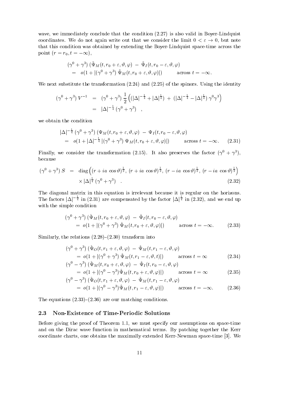wave, we immediately conclude that the condition  $(2.27)$  is also valid in Boyer-Lindquist coordinates. We do not again write out that we consider the limit  $0 < \varepsilon \to 0$ , but note that this condition was obtained by extending the Boyer-Lindquist space-time across the point  $(r = r_0, t = -\infty)$ ,

$$
(\gamma^0 + \gamma^3) (\tilde{\Psi}_M(t, r_0 + \varepsilon, \vartheta, \varphi) - \tilde{\Psi}_I(t, r_0 - \varepsilon, \vartheta, \varphi)
$$
  
=  $o(1 + |(\gamma^0 + \gamma^3) \tilde{\Psi}_M(t, r_0 + \varepsilon, \vartheta, \varphi)|)$  across  $t = -\infty$ .

We next substitute the transformation  $(2.24)$  and  $(2.25)$  of the spinors. Using the identity

$$
(\gamma^{0} + \gamma^{3}) V^{-1} = (\gamma^{0} + \gamma^{3}) \frac{1}{2} ((|\Delta|^{-\frac{1}{4}} + |\Delta|^{\frac{1}{4}}) + (|\Delta|^{-\frac{1}{4}} - |\Delta|^{\frac{1}{4}}) \gamma^{0} \gamma^{3})
$$
  
=  $|\Delta|^{-\frac{1}{4}} (\gamma^{0} + \gamma^{3})$ ,

we obtain the condition

$$
|\Delta|^{-\frac{1}{4}} (\gamma^0 + \gamma^3) (\Psi_M(t, r_0 + \varepsilon, \vartheta, \varphi) - \Psi_I(t, r_0 - \varepsilon, \vartheta, \varphi)
$$
  
=  $o(1 + |\Delta|^{-\frac{1}{4}} |(\gamma^0 + \gamma^3) \Psi_M(t, r_0 + \varepsilon, \vartheta, \varphi)|)$  across  $t = -\infty$ . (2.31)

Finally, we consider the transformation (2.15). It also preserves the factor ( $\gamma$   $\pm$   $\gamma$  ), because

$$
(\gamma^0 + \gamma^3) S = \text{diag}\left((r + ia \cos \vartheta)^{\frac{1}{2}}, (r + ia \cos \vartheta)^{\frac{1}{2}}, (r - ia \cos \vartheta)^{\frac{1}{2}}, (r - ia \cos \vartheta)^{\frac{1}{2}}\right) \times |\Delta|^{\frac{1}{4}} (\gamma^0 + \gamma^3) .
$$
\n(2.32)

The diagonal matrix in this equation is irrelevant because it is regular on the horizons The factors  $|\Delta|^{-\frac{1}{4}}$  in (2.31) are compensated by the factor  $|\Delta|^{\frac{1}{4}}$  in (2.32), and we end up with the simple condition

$$
(\gamma^{0} + \gamma^{3}) (\tilde{\Psi}_{M}(t, r_{0} + \varepsilon, \vartheta, \varphi) - \tilde{\Psi}_{I}(t, r_{0} - \varepsilon, \vartheta, \varphi)
$$
  
=  $o(1 + |(\gamma^{0} + \gamma^{3}) \tilde{\Psi}_{M}(t, r_{0} + \varepsilon, \vartheta, \varphi)|)$  across  $t = -\infty$ . (2.33)

Similarly the relations \$- transform into

$$
(\gamma^{0} + \gamma^{3}) (\hat{\Psi}_{O}(t, r_{1} + \varepsilon, \vartheta, \varphi) - \hat{\Psi}_{M}(t, r_{1} - \varepsilon, \vartheta, \varphi))
$$
  
=  $o(1 + |(\gamma^{0} + \gamma^{3}) \hat{\Psi}_{M}(t, r_{1} - \varepsilon, \vartheta, t)|)$  across  $t = \infty$  (2.34)

$$
(\gamma^0 - \gamma^3) (\Psi_M(t, r_0 + \varepsilon, \vartheta, \varphi) - \Psi_I(t, r_0 - \varepsilon, \vartheta, \varphi)
$$
  
=  $o(1 + |(\gamma^0 - \gamma^3) \hat{\Psi}_M(t, r_0 + \varepsilon, \vartheta, \varphi)|)$  across  $t = \infty$  (2.35)

$$
(\gamma^0 - \gamma^3) \left( \hat{\Psi}_O(t, r_1 + \varepsilon, \vartheta, \varphi) - \hat{\Psi}_M(t, r_1 - \varepsilon, \vartheta, \varphi) \right)
$$
  
=  $o(1 + |(\gamma^0 - \gamma^3) \hat{\Psi}_M(t, r_1 - \varepsilon, \vartheta, \varphi)|)$  across  $t = -\infty$ . (2.36)

The equations --\$- are our matching conditions

## 2.3 Non-Existence of Time-Periodic Solutions

Before giving the proof of Theorem  $1.1$ , we must specify our assumptions on space-time and on the Dirac wave function in mathematical terms. By patching together the Kerr coordinate charts on the maximum the maximally extended Kerry at the space operator  $\mathbb{R}^n$  . The coordinate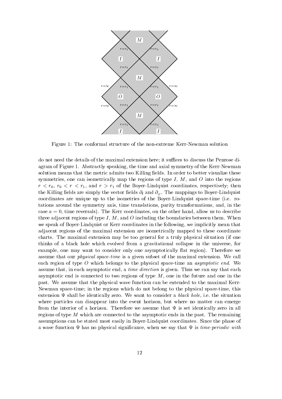

Figure 1: The conformal structure of the non-extreme Kerr-Newman solution

do not need the details of the maximal extension discussion here it successfully the Penrose discuss the Penro agram of Figure 1. Abstractly speaking, the time and axial symmetry of the Kerr-Newman solution means that the metric admits two Killing fields. In order to better visualize these symmetries, one can isometrically map the regions of type  $I, M$ , and  $O$  into the regions <sup>r</sup> r r <sup>r</sup> r- and r r- of the BoyerLindquist coordinates respectively then the Killing fields are simply the vector fields  $\partial_t$  and  $\partial_\varphi$ . The mappings to Boyer-Lindquist coordinates are unique up to the isometries of the Boyer-Lindquist space-time (i.e. rotations around the symmetry axis time translations parity transformations and in the case  $a = 0$ , time reversals). The Kerr coordinates, on the other hand, allow us to describe three adjacent regions of type I, M, and O including the boundaries between them. When we speak of Boyer-Lindquist or Kerr coordinates in the following, we implicitly mean that adjacent regions of the maximal extension are isometrically mapped to these coordinate charts. The maximal extension may be too general for a truly physical situation (if one thinks of a black hole which evolved from a gravitational collapse in the universe, for example, one may want to consider only one asymptotically flat region). Therefore we assume that our *physical space-time* is a given subset of the maximal extension. We call each region of type  $O$  which belongs to the physical space-time an *asymptotic end*. We assume that, in each asymptotic end, a *time direction* is given. Thus we can say that each asymptotic end is connected to two regions of type  $M$ , one in the future and one in the past. We assume that the physical wave function can be extended to the maximal Kerrnew man spacetime in the regions which do not belong to the physical spacetime the compact  $\sim$ extension  $\Psi$  shall be identically zero. We want to consider a black hole, i.e. the situation where particles can disappear into the event horizon, but where no matter can emerge from the interior of a horizon. Therefore we assume that  $\Psi$  is set identically zero in all regions of type  $M$  which are connected to the asymptotic ends in the past. The remaining assumptions can be stated most easily in BoyerLindquist coordinates Since the phase of a wave function  $\Psi$  has no physical significance, when we say that  $\Psi$  is time-periodic with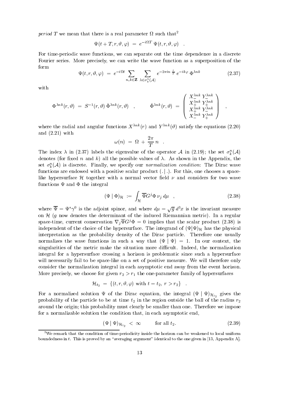period T we mean that there is a real parameter  $\Omega$  such that<sup>2</sup>

$$
\Psi(t+T,r,\vartheta,\varphi) \;=\; e^{-i\Omega T} \; \Psi(t,r,\vartheta,\varphi) \quad .
$$

For time-periodic wave functions, we can separate out the time dependence in a discrete Fourier series. More precisely, we can write the wave function as a superposition of the form

$$
\Psi(t,r,\vartheta,\varphi) = e^{-i\Omega t} \sum_{n,k \in \mathbf{Z}} \sum_{\lambda \in \sigma_k^n(\mathcal{A})} e^{-2\pi i n \frac{t}{T}} e^{-ik\varphi} \Phi^{\lambda nk}
$$
\n(2.37)

 $\mathcal{L}$  and  $\mathcal{L}$  and  $\mathcal{L}$  and  $\mathcal{L}$  and  $\mathcal{L}$  and  $\mathcal{L}$  and  $\mathcal{L}$  and  $\mathcal{L}$  and  $\mathcal{L}$  and  $\mathcal{L}$  and  $\mathcal{L}$  and  $\mathcal{L}$  and  $\mathcal{L}$  and  $\mathcal{L}$  and  $\mathcal{L}$  and  $\mathcal{L}$  and  $\mathcal{L}$  and

with

$$
\Phi^{\lambda n k}(r,\vartheta) \;=\; S^{-1}(r,\vartheta)\; \hat{\Phi}^{\lambda n k}(r,\vartheta) \quad , \hspace{1cm} \hat{\Phi}^{\lambda n k}(r,\vartheta) \;=\; \left( \begin{array}{c} X_{-\lambda n k}^{\lambda n k} \; Y_{-\lambda n k}^{\lambda n k} \\ X_{+\lambda n k}^{\lambda n k} \; Y_{\lambda n k}^{\lambda n k} \\ X_{-\lambda n k}^{\lambda n k} \; Y_{+\lambda n k}^{\lambda n k} \end{array} \right) \;\;,
$$

where the radial and angular functions  $\Lambda = (r)$  and  $Y = (v)$  satisfy the equations  $(2.20)$ and  $(2.21)$  with

$$
\omega(n) = \Omega + \frac{2\pi}{T} n .
$$

The index  $\lambda$  in (2.5*t*) labels the eigenvalue of the operator A in (2.19); the set  $\sigma_k^{\tau}(\mathcal{A})$ denotes (for fixed n and k) all the possible values of  $\lambda$ . As shown in the Appendix, the set  $\sigma_k(\mathcal{A})$  is discrete. Finally, we specify our *normalization condition*: The Dirac wave functions are endowed with a positive scalar product  $($ .  $|$ . For this, one chooses a spacelike hypersurface  $H$  together with a normal vector field  $\nu$  and considers for two wave functions  $\Psi$  and  $\Phi$  the integral

$$
(\Psi \mid \Phi)_{\mathcal{H}} := \int_{\mathcal{H}} \overline{\Psi} G^j \Phi \, \nu_j \, d\mu \quad , \tag{2.38}
$$

where  $\Psi = \Psi^* \gamma^0$  is the adjoint spinor, and where  $d\mu = \sqrt{q} d^{\circ}x$  is the invariant measure on  $\mathcal H$  (g now denotes the determinant of the induced Riemannian metric). In a regular space-time, current conservation  $V_j \Psi G^{\gamma} \Psi = 0$  implies that the scalar product (2.56) is independent of the choice of the hypersurface. The integrand of  $(\Psi|\Psi)_{\mathcal{H}}$  has the physical interpretation as the probability density of the Dirac particle Therefore one usually normalizes the wave functions in such a way that  $(\Psi | \Psi) = 1$ . In our context, the singularities of the metric make the situation more difficult. Indeed, the normalization integral for a hypersurface crossing a horizon is problematic since such a hypersurface will necessarily fail to be space-like on a set of positive measure. We will therefore only consider the normalization integral in each asymptotic end away from the event horizon More precisely we choose for given r r- the oneparameter family of hypersurfaces

$$
\mathcal{H}_{t_2} = \{ (t, r, \vartheta, \varphi) \text{ with } t = t_2, r > r_2 \} .
$$

 $\frac{1}{1}$ , of the Dirac equation the integral integral integral integral integral integral integral integral integral integral integral integral integral integral integral integral integral integral integral integral inte probability of the particle to be at time  $t_2$  in the region outside the ball of the radius  $r_2$  $\mathcal{L}$  are the original the clearly must clearly must consider than one Therefore we impose for a normalizable solution the condition that, in each asymptotic end,

$$
(\Psi \mid \Psi)_{\mathcal{H}_{t_2}} < \infty \quad \text{for all } t_2.
$$
 (2.39)

<sup>-</sup>We remark that the condition of timeperiodicity inside the horizon can be weakened to local uniform boundedness in t. This is proved by an "averaging argument" identical to the one given in  $[13,$  Appendix A.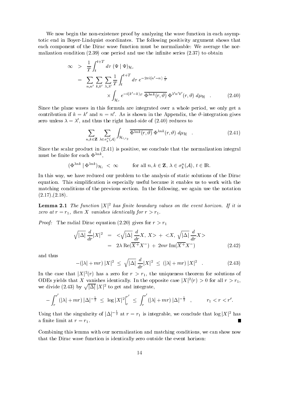We now begin the non-existence proof by analyzing the wave function in each asymptotic end in BoyerLindquist coordinates The following positivity argument shows that each component of the Dirac wave function must be normalizable: We average the normalization condition - one period and use the innite series - to obtain

$$
\infty > \frac{1}{T} \int_{t}^{t+T} d\tau \, (\Psi | \, \Psi)_{\mathcal{H}_{\tau}}
$$
\n
$$
= \sum_{n,n'} \sum_{k,k'} \sum_{\lambda,\lambda'} \frac{1}{T} \int_{t}^{t+T} d\tau \, e^{-2\pi i (n'-n)} \frac{\tau}{T}
$$
\n
$$
\times \int_{\mathcal{H}_{\tau}} e^{-i(k'-k)\varphi} \, \overline{\Phi^{\lambda n k}(r,\vartheta)} \, \Phi^{\lambda' n' k'}(r,\vartheta) \, d\mu_{\mathcal{H}} \quad . \tag{2.40}
$$

Since the plane waves in this formula are integrated over a whole period, we only get a contribution if  $\kappa = \kappa$  and  $n = n$ . As is shown in the Appendix, the v-integration gives zero unless  $\lambda = \lambda'$ , and thus the right hand-side of (2.40) reduces to

$$
\sum_{n,k\in\mathbf{Z}}\sum_{\lambda\in\sigma_k^n(\mathcal{A})}\int_{\mathcal{H}_{t,r_2}}\overline{\Phi^{\lambda nk}(r,\vartheta)}\,\Phi^{\lambda nk}(r,\vartheta)\,d\mu_{\mathcal{H}}\quad.\tag{2.41}
$$

Since the scalar product in  $(2.41)$  is positive, we conclude that the normalization integral must be finite for each  $\Phi^{\lambda nk}$ ,

$$
(\Phi^{\lambda nk} \mid \Phi^{\lambda nk})_{\mathcal{H}_t} < \infty \quad \text{for all } n, k \in \mathbf{Z}, \, \lambda \in \sigma_k^n(\mathcal{A}), \, t \in \mathbb{R}.
$$

In this way, we have reduced our problem to the analysis of static solutions of the Dirac equation. This simplification is especially useful because it enables us to work with the matching conditions of the previous section. In the following, we again use the notation  $(2.17), (2.18).$ 

**Lemma 2.1** The function  $|X|$  has finite obtinary values on the event horizon. If it is  $\mathbf{r}$  referred to the  $\mathbf{r}$  referred to  $\mathbf{r}$  and  $\mathbf{r}$  referred to  $\mathbf{r}$ 

*Proof:* The radial Dirac equation (2.20) gives for  $r>r_1$ 

$$
\sqrt{|\Delta|} \frac{d}{dr} |X|^2 = \langle \sqrt{|\Delta|} \frac{d}{dr} X, X \rangle + \langle X, \sqrt{|\Delta|} \frac{d}{dr} X \rangle
$$
  
=  $2\lambda \operatorname{Re}(\overline{X^+} X^-) + 2mr \operatorname{Im}(\overline{X^+} X^-)$  (2.42)

and thus

$$
-(|\lambda| + mr) |X|^2 \le \sqrt{|\Delta|} \frac{d}{dr} |X|^2 \le (|\lambda| + mr) |X|^2 \quad . \tag{2.43}
$$

In the case that  $|A|^{-}(r)$  has a zero for  $r > r_1$ , the uniqueness theorem for solutions of ODEs yields that  $\Lambda$  vanishes identically. In the opposite case  $|\Lambda|^{-}(r) > 0$  for all  $r > r_1$ we divide (2.43) by  $\sqrt{|\Delta|} |X|^2$  to get and integrate,

$$
-\int_r^{r'}(|\lambda|+mr)|\Delta|^{-\frac{1}{2}} \leq \log |X|^2\Big|_r^{r'} \leq \int_r^{r'}(|\lambda|+mr)|\Delta|^{-\frac{1}{2}} , \qquad r_1 < r < r'.
$$

Using that the singularity of  $|\Delta|^{-\frac{1}{2}}$  at  $r=r_1$  is integrable, we conclude that  $\log|X|^2$  has a <del>nite limit at range and range at r</del> respectively. In the case of the contract of the contract of the contract of the contract of the contract of the contract of the contract of the contract of the contract of the contra

Combining this lemma with our normalization and matching conditions, we can show now that the Dirac wave function is identically zero outside the event horizon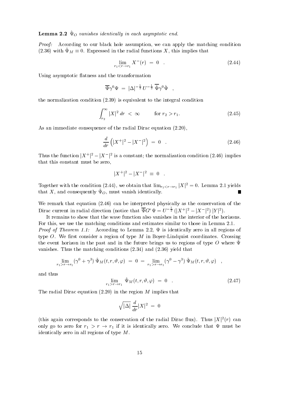$\bf{n}$  and  $\bf{z}$ ,  $\bf{z}$  by vanishes identically in each asymptotic end.

*Proof:* According to our black hole assumption, we can apply the matching condition  $(2.50)$  with  $\mathcal{L}M = 0$ . Expressed in the radial functions  $\Lambda$ , this implies that

$$
\lim_{r_1 < r \to r_1} X^-(r) = 0 \tag{2.44}
$$

Using asymptotic flatness and the transformation

$$
\overline{\Psi}\gamma^0\Psi\ =\ |\Delta|^{-\frac{1}{2}}\ U^{-\frac{1}{2}}\ \overline{\hat{\Psi}}\gamma^0 \hat{\Psi}\quad ,
$$

the normalization  $\mathbf{u}$  is equivalent to the integral condition  $\mathbf{u}$ 

$$
\int_{r_2}^{\infty} |X|^2 \, dr < \infty \qquad \text{for } r_2 > r_1. \tag{2.45}
$$

As an immediate consequence of the radial Dirac equation  $(2.20)$ ,

$$
\frac{d}{dr}\left(|X^+|^2 - |X^-|^2\right) = 0 \quad . \tag{2.46}
$$

I mus the function  $X^+$   $\Gamma = |X^-|$  is a constant; the normalization condition (2.40) implies that this constant must be zero

$$
|X^+|^2 - |X^-|^2 \ \equiv \ 0 \quad .
$$

rogether with the condition (2.44), we obtain that  $\lim_{r_1 < r \to r_1} |A| = 0$ . Lemma 2.1 yields П  $\alpha$  and consequently  $\alpha$ ), must vanish identically.

We remark that equation  $(2.46)$  can be interpreted physically as the conservation of the Dirac current in radial direction (notice that  $\Psi G^r \Psi = U^{-\frac{1}{2}} \left( |X^{+}|^2 - |X^{-}|^2 \right) |Y|^2$ ).

It remains to show that the wave function also vanishes in the interior of the horizons For this, we use the matching conditions and estimates similar to those in Lemma 2.1. Proof of Theorem - According to Lemma is identically zero in all regions of type O. We first consider a region of type  $M$  in Boyer-Lindquist coordinates. Crossing the event horizon in the past and in the future brings us to regions of type O where  $\Psi$  $\alpha$  is the matching conditions  $\alpha$  and  $\alpha$   $\beta$  and  $\beta$   $\beta$  and  $\beta$   $\beta$  and  $\beta$   $\beta$  and  $\beta$ 

$$
\lim_{r_1 > r \to r_1} (\gamma^0 + \gamma^3) \hat{\Psi}_M(t, r, \vartheta, \varphi) = 0 = \lim_{r_1 > r \to r_1} (\gamma^0 - \gamma^3) \hat{\Psi}_M(t, r, \vartheta, \varphi) ,
$$

and thus

$$
\lim_{r_1 > r \to r_1} \hat{\Psi}_M(t, r, \vartheta, \varphi) = 0 \quad . \tag{2.47}
$$

The radial Dirac equation  $(2.20)$  in the region M implies that

$$
\sqrt{|\Delta|}\;\frac{d}{dr}|X|^2\;=\;0
$$

(this again corresponds to the conservation of the radial Dirac Hux). Thus  $|X|$  ( $t$ ) can only go to zero for relationship in the relationship in the relationship in the relationship in the relationship in the relationship in the relationship in the relationship in the relationship in the relationship in the re identically zero in all regions of type  $M$ .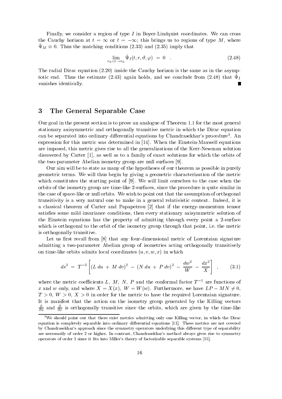Finally, we consider a region of type  $I$  in Boyer-Lindquist coordinates. We can cross the Cauchy field  $\cdots$  or the  $\cdots$  or the  $\cdots$  of the  $\cdots$  of the  $\cdots$  of type  $\cdots$   $\cdots$   $\cdots$  $\Psi M = 0$ . Thus the matching conditions  $(2.56)$  and  $(2.56)$  imply that

$$
\lim_{r_0 < r \to r_0} \hat{\Psi}_I(t, r, \vartheta, \varphi) = 0 \tag{2.48}
$$

The radial Dirac equation  $(2.20)$  inside the Cauchy horizon is the same as in the asymptotic end. Thus the estimate  $(z, z)$  again holds, and we conclude from  $(z, z_0)$  that  $\psi_f$ vanishes identically

#### 3 The General Separable Case

Our goal in the present section is to prove an analogue of Theorem 1.1 for the most general stationary axisymmetric and orthogonally transitive metric in which the Dirac equation can be separated into ordinary dierential equations by Chandrasekhars procedure An expression for this metric was determined in  $[14]$ . When the Einstein-Maxwell equations are imposed, this metric gives rise to all the generalizations of the Kerr-Newman solution discovered by Carter  $[1]$ , as well as to a family of exact solutions for which the orbits of the two-parameter Abelian isometry group are null surfaces [9].

Our aim will be to state as many of the hypotheses of our theorem as possible in purely geometric terms. We will thus begin by giving a geometric characterization of the metric which constitutes the starting point of  $[9]$ . We will limit ourselves to the case when the orbits of the isometry group are time-like 2-surfaces, since the procedure is quite similar in the case of space-like or null orbits. We wish to point out that the assumption of orthogonal transitivity is a very natural one to make in a general relativistic context Indeed it is a classical theorem of Carter and Papapetrou [2] that if the energy-momentum tensor satisfies some mild invariance conditions, then every stationary axisymmetric solution of the Einstein equations has the property of admitting through every point a 2-surface which is orthogonal to the orbit of the isometry group through that point, i.e. the metric is orthogonally transitive

Let us first recall from  $[8]$  that any four-dimensional metric of Lorentzian signature admitting a two-parameter Abelian group of isometries acting orthogonally transitively on time-like orbits admits local coordinates  $(u, v, w, x)$  in which

$$
ds^{2} = T^{-2} \left[ (L du + M dv)^{2} - (N du + P dv)^{2} - \frac{dw^{2}}{W} - \frac{dx^{2}}{X} \right], \qquad (3.1)
$$

where the metric coefficients  $L$ ,  $M$ ,  $N$ ,  $P$  and the comormal factor  $T$  - are functions of x and w only, and where  $X = X(x)$ ,  $W = W(w)$ . Furthermore, we have  $LP - MN \neq 0$ ,  $T > 0$ ,  $W > 0$ ,  $X > 0$  in order for the metric to have the required Lorentzian signature. It is manifest that the action on the isometry group generated by the Killing vectors  $\overline{\partial u}$  and  $\overline{\partial v}$  is orthogonally transitive since the orbits, which are given by the time-like

<sup>&</sup>lt;sup>3</sup>We should point out that there exist metrics admitting only one Killing vector, in which the Dirac equation is completely separable into ordinary differential equations [11]. These metrics are not covered by Chandrasekhar's approach since the symmetry operators underlying this different type of separability are necessarily of order or higher In contrast Chandrasekhars method always gives rise to symmetry operators of order 1 since it fits into Miller's theory of factorizable separable systems  $[15]$ .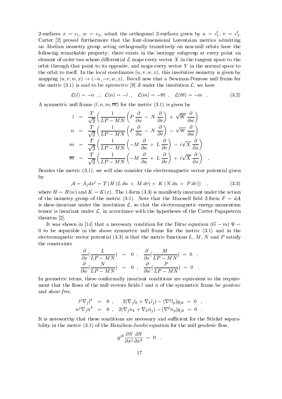2-surfaces  $x = c_1, w = c_2$ , admit the orthogonal 2-surfaces given by  $u = c_1, v = c_2$ . Carter [2] proved furthermore that the four-dimensional Lorentzian metrics admitting an Abelian isometry group acting orthogonally transitively on non-null orbits have the following remarkable property: there exists in the isotropy subgroup at every point an element of order two whose differential  $\mathcal L$  maps every vector X in the tangent space to the orbit through that point to its opposite, and maps every vector  $Y$  in the normal space to the orbit to itself. In the local coordinates  $(u, v, w, x)$ , this involutive isometry is given by mapping  $(u, v, w, x) \rightarrow (-u, -v, w, x)$ . Recall now that a Newman-Penrose null frame for the metric (the) or sample is saymouth and in  $\mathcal{L}_1$  we have the involution  $\mathcal{L}_2$  , we have the involution

$$
\mathcal{L}(l) = -n \quad ; \quad \mathcal{L}(n) = -l \quad , \quad \mathcal{L}(m) = -\overline{m} \quad , \quad \mathcal{L}(\overline{m}) = -m \quad . \tag{3.2}
$$

A symmetric null frame is  $\{ \cdot, \cdot, \cdot, \cdot, \cdot \}$  and the metric  $\{ \cdot, \cdot, \cdot \}$  , and  $\{ \cdot, \cdot, \cdot \}$ 

$$
l = \frac{T}{\sqrt{2}} \left( \frac{1}{LP - MN} \left( P \frac{\partial}{\partial u} - N \frac{\partial}{\partial v} \right) + \sqrt{W} \frac{\partial}{\partial w} \right)
$$
  
\n
$$
n = \frac{T}{\sqrt{2}} \left( \frac{1}{LP - MN} \left( P \frac{\partial}{\partial u} - N \frac{\partial}{\partial v} \right) - \sqrt{W} \frac{\partial}{\partial w} \right)
$$
  
\n
$$
m = \frac{T}{\sqrt{2}} \left( \frac{1}{LP - MN} \left( -M \frac{\partial}{\partial u} + L \frac{\partial}{\partial v} \right) - i\sqrt{X} \frac{\partial}{\partial x} \right)
$$
  
\n
$$
\overline{m} = \frac{T}{\sqrt{2}} \left( \frac{1}{LP - MN} \left( -M \frac{\partial}{\partial u} + L \frac{\partial}{\partial v} \right) + i\sqrt{X} \frac{\partial}{\partial x} \right) ,
$$

Besides the metric - we will also consider the electromagnetic vector potential given by

$$
\mathcal{A} = A_j dx^j = T (H (L du + M dv) + K (N du + P dv)) , \qquad (3.3)
$$

where  $\mathbf{H} = \mathbf{H} \times \mathbf{H}$  is a subset of the action -  $\mathbf{H}$ of the isometry group of the metric (vir). Itself the Maxwell metric form for  $\mathbf{r}$ is skew-invariant under the involution  $\mathcal{L}$ , so that the electromagnetic energy-momentum tensor is invariant under  $\mathcal{L}$ , in accordance with the hypotheses of the Carter-Papapetrou theorem [2].

It was shown in [14] that a necessary condition for the Dirac equation  $(G - m) \Psi =$  to be separable in the above symmetric null frame for the metric - and in the electromagnetic vector potential (i.e.) in that the metric functions at the metric  $\sim$  and  $\sim$ the constraints

$$
\frac{\partial}{\partial x}(\frac{L}{LP-MN}) = 0 , \frac{\partial}{\partial x}(\frac{M}{LP-MN}) = 0 ,
$$
  

$$
\frac{\partial}{\partial w}(\frac{N}{LP-MN}) = 0 , \frac{\partial}{\partial w}(\frac{P}{LP-MN}) = 0 .
$$

In geometric terms, these conformally invariant conditions are equivalent to the requirement that the flows of the null vectors fields  $l$  and  $n$  of the symmetric frame be *geodesic* and *shear-free*,

$$
\begin{array}{rcl} l^j \nabla_j l^k & = & 0 \,\, , \qquad 2(\nabla_j l_k + \nabla_k l_j) - (\nabla^p l_p) g_{jk} \,\, = \,\, 0 \ \ \, , \\ n^j \nabla_j n^k & = & 0 \,\, , \quad 2(\nabla_j n_k + \nabla_k n_j) - (\nabla^p n_p) g_{jk} \,\, = \,\, 0 \ \ \, . \end{array}
$$

It is noteworthy that these conditions are necessary and sufficient for the Stäckel separability in the metric (field) to the metric conditions for the second contract  $\alpha$  ,  $\alpha$  ,  $\alpha$ 

$$
g^{jk}\frac{\partial S}{\partial x^j}\frac{\partial S}{\partial x^k} = 0 \quad .
$$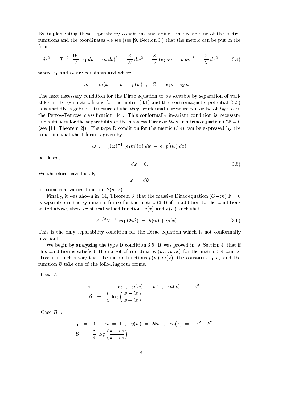By implementing these separability conditions and doing some relabeling of the metric functions and the coordinates we see see Section - that the metric can be put in the form

$$
ds^{2} = T^{-2} \left[ \frac{W}{Z} (e_{1} du + m dv)^{2} - \frac{Z}{W} dw^{2} - \frac{X}{Z} (e_{2} du + p dv)^{2} - \frac{Z}{X} dx^{2} \right], \quad (3.4)
$$

where e-constants and where e-constants and where e-constants and where  $\Delta$ 

$$
m \; = \; m(x) \;\; , \ \ \, p \; = \; p(w) \;\; , \ \ \, Z \; = \; e_1 p - e_2 m \ \ \, .
$$

The next necessary condition for the Dirac equation to be solvable by separation of vari ables in the symmetric frame for the metric  $\{1, 1, 2, \ldots\}$  and the electromagnetic potential  $\{1, 1, 2, \ldots\}$ is is that the algebraic structure of the Weyl conformal curvature tensor be of type  $D$  in the Petrov-Penrose classification  $[14]$ . This conformally invariant condition is necessary and sufficient for the separability of the massless Dirac or Weyl neutrino equation  $G\Psi = 0$ see Theorem The type D condition for the metric - can be expressed by the condition that the 1-form  $\omega$  given by

$$
\omega := (4Z)^{-1} (e_1 m'(x) dw + e_2 p'(w) dx)
$$

be closed

$$
d\omega = 0.\tag{3.5}
$$

We therefore have locally

 $\omega = d\mathcal{B}$ 

for some real-valued function  $\mathcal{B}(w, x)$ .

Finally it was shown in Theorem - that the massive Dirac equation Gm is separable in the symmetric frame for the metric - if in addition to the conditions stated above, there exist real-valued functions  $g(x)$  and  $h(w)$  such that

$$
Z^{1/2}T^{-1} \exp(2i\mathcal{B}) = h(w) + ig(x) \quad . \tag{3.6}
$$

This is the only separability condition for the Dirac equation which is not conformally invariant

was proved in the type D condition and the two proved in the two sections of the section  $\mathcal{L}$ this commutation is satisfacting the set of coordinates used the metric of the metric - and metric - and metric chosen in such a way that the metric functions of the many  $\mu$  (  $\mu$  )) the constants e-functions e-functions e-functions e-functions e-functions e-functions e-functions e-functions e-functions e-functions e-functions efunction  $\beta$  take one of the following four forms:

Case A

$$
e_1 = 1 = e_2
$$
,  $p(w) = w^2$ ,  $m(x) = -x^2$ ,  
\n $B = \frac{i}{4} \log \left( \frac{w - ix}{w + ix} \right)$ .

Case  $B_-\colon$ 

$$
e_1 = 0 , e_2 = 1 , p(w) = 2kw , m(x) = -x^2 - k^2 ,
$$
  

$$
\mathcal{B} = \frac{i}{4} \log \left( \frac{k - ix}{k + ix} \right) .
$$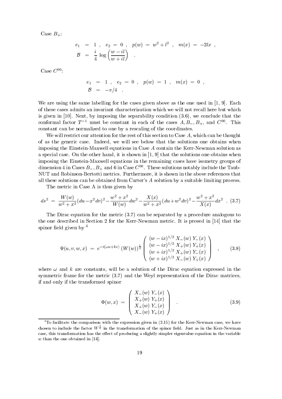Case  $B_+$ :

$$
e_1 = 1 , e_2 = 0 , p(w) = w^2 + l^2 , m(x) = -2lx ,
$$
  

$$
B = \frac{i}{4} \log \left( \frac{w - il}{w + il} \right) .
$$

Case  $C^{00}$ :

$$
\begin{array}{rcl}\ne_1 & = & 1 \quad , \quad e_2 & = & 0 \quad , \quad p(w) & = & 1 \quad , \quad m(x) & = & 0 \quad , \\
\mathcal{B} & = & -\pi/4 \quad .\end{array}
$$

We are using the same labelling for the cases given above as the one used in  $[1, 9]$ . Each of these cases admits an invariant characterization which we will not recall here but which is given in the separability condition  $\mathcal{N}$  . We conclude that the separability condition  $\mathcal{N}$ conformal factor  $I$  - must be constant in each of the cases  $A, D_-, D_+,$  and  $C^-.$  This constant can be normalized to one by a rescaling of the coordinates

We will restrict our attention for the rest of this section to Case  $A$ , which can be thought of as the generic case. Indeed, we will see below that the solutions one obtains when imposing the Einstein-Maxwell equations in Case  $A$  contain the Kerr-Newman solution as a special case. On the other hand, it is shown in  $[1, 9]$  that the solutions one obtains when imposing the Einstein-Maxwell equations in the remaining cases have isometry groups of dimension 4 in Cases  $D_-, D_+$  and  $\sigma$  in Case C  $\cap$  . These solutions notably include the Taub-NUT and Robinson-Bertotti metrics. Furthermore, it is shown in the above references that all these solutions can be obtained from Carter's  $\vec{A}$  solution by a suitable limiting process.

The metric in Case A is thus given by

$$
ds^2 = \frac{W(w)}{w^2 + x^2} (du - x^2 dv)^2 - \frac{w^2 + x^2}{W(w)} dw^2 - \frac{X(x)}{w^2 + x^2} (du + w^2 dv)^2 - \frac{w^2 + x^2}{X(x)} dx^2
$$
 (3.7)

. The diracted by a procedure of the metric states of the metric analogous to procedure and the separated by a the one described in Section 2 for the Kerr-Newman metric. It is proved in  $[14]$  that the spinor field given by  $4$ 

$$
\Psi(u, v, w, x) = e^{-i(\omega u + kv)} \left( W(w) \right)^{\frac{1}{4}} \begin{pmatrix} (w - ix)^{1/2} X_{-}(w) Y_{-}(x) \\ (w - ix)^{1/2} X_{+}(w) Y_{+}(x) \\ (w + ix)^{1/2} X_{+}(w) Y_{-}(x) \\ (w + ix)^{1/2} X_{-}(w) Y_{+}(x) \end{pmatrix} , \quad (3.8)
$$

where  $\omega$  and k are constants, will be a solution of the Dirac equation expressed in the symmetric frame for the metric - and the Weyl representation of the Dirac matrices if and only if the transformed spinor

$$
\Phi(w, x) = \begin{pmatrix} X_{-}(w) Y_{-}(x) \\ X_{+}(w) Y_{+}(x) \\ X_{+}(w) Y_{-}(x) \\ X_{-}(w) Y_{+}(x) \end{pmatrix} . \tag{3.9}
$$

To facilitate the comparison with the expression given in (2.15) for the Kerr-Newman case, we have chosen to include the factor  $W^{\frac{1}{4}}$  in the transformation of the spinor field. Just as in the Kerr-Newman case, this transformation has the effect of producing a slightly simpler eigenvalue equation in the variable  $w$  than the one obtained in [14].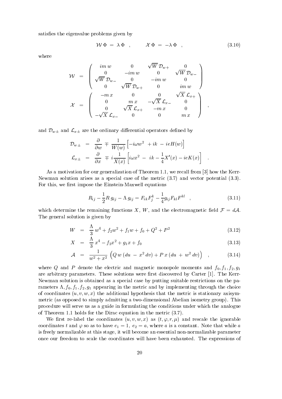satisfies the eigenvalue problems given by

$$
\mathcal{W}\,\Phi = \lambda\,\Phi \quad , \qquad \mathcal{X}\,\Phi = -\lambda\,\Phi \quad , \tag{3.10}
$$

 $\overline{\phantom{a}}$ 

where

$$
\mathcal{W} = \begin{pmatrix} im w & 0 & \sqrt{W} \, \mathcal{D}_{w+} & 0 \\ 0 & -im w & 0 & \sqrt{W} \, \mathcal{D}_{w-} \\ \sqrt{W} \, \mathcal{D}_{w-} & 0 & -im w & 0 \\ 0 & \sqrt{W} \, \mathcal{D}_{w+} & 0 & im w \end{pmatrix}
$$

$$
\mathcal{X} = \begin{pmatrix} -m x & 0 & 0 & \sqrt{X} \, \mathcal{L}_{x+} \\ 0 & m x & -\sqrt{X} \, \mathcal{L}_{x-} & 0 \\ 0 & \sqrt{X} \, \mathcal{L}_{x+} & -m x & 0 \\ -\sqrt{X} \, \mathcal{L}_{x-} & 0 & 0 & m x \end{pmatrix} ,
$$

and Dw- and Lx- are the ordinary dierential operators dened by

$$
\mathcal{D}_{w\pm} = \frac{\partial}{\partial w} \mp \frac{1}{W(w)} \left[ -i\omega w^2 + ik - ieH(w) \right]
$$
  

$$
\mathcal{L}_{x\pm} = \frac{\partial}{\partial x} \mp i\frac{1}{X(x)} \left[ i\omega x^2 - ik - \frac{1}{4}X'(x) - ieK(x) \right]
$$

As a motivation for our generalization of Theorem we recall from - how the Kerr Newman solution arises as a special case of the metric - and vector potential -- For this, we first impose the Einstein-Maxwell equations

$$
R_{ij} - \frac{1}{2}R g_{ij} - \Lambda g_{ij} = F_{ik}F_j^k - \frac{1}{4}g_{ij}F_{kl}F^{kl} \quad , \tag{3.11}
$$

which determine the remaining functions X, W, and the electromagnetic field  $\mathcal{F} = d\mathcal{A}$ .<br>The general solution is given by

$$
W = \frac{\Lambda}{3} w^4 + f_2 w^2 + f_1 w + f_0 + Q^2 + P^2 \tag{3.12}
$$

$$
X = \frac{\Lambda}{3} x^4 - f_2 x^2 + g_1 x + f_0 \tag{3.13}
$$

$$
\mathcal{A} = \frac{1}{w^2 + x^2} \left( Q w (du - x^2 dv) + P x (du + w^2 dv) \right) , \qquad (3.14)
$$

where Q and P denote the electric and magnetic monopole moments and f f- f gare arbitrary parameters. These solutions were first discovered by Carter  $[1]$ . The Kerr-Newman solution is obtained as a special case by putting suitable restrictions on the pa rameters and from the metric and by indicate the metric and by indicate the metric and by indicate the choice o of coordinates  $(u, v, w, x)$  the additional hypothesis that the metric is stationary axisymmetric (as opposed to simply admitting a two-dimensional Abelian isometry group). This procedure will serve us as a guide in formulating the conditions under which the analogue of Theorem I holds for the Dirac equation is the metric  $\mathbf{r}_i$ 

We first re-label the coordinates  $(u, v, w, x)$  as  $(t, \varphi, r, \mu)$  and rescale the ignorable coordinates the so as to have e-dimensional  $\mathcal{A}$  while a is a constant Note that while a is a constant Note that while a sois freely normalizable at this stage, it will become an essential non-normalizable parameter once our freedom to scale the coordinates will have been exhausted. The expressions of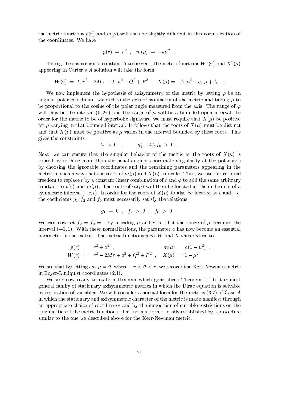the metric functions  $p(r)$  and  $m(\mu)$  will thus be slightly different in this normalization of the coordinates. We have

$$
p(r) \; = \; r^2 \;\; , \quad m(\mu) \; = \; -a \mu^2 \ \ \, .
$$

Taking the cosmological constant A to be zero, the metric functions  $W^{-}(r)$  and  $\Lambda^{-}( \mu )$ appearing in Carter's  $A$  solution will take the form

$$
W(r) = f_2 r^2 - 2M r + f_0 a^2 + Q^2 + P^2 , \quad X(\mu) = -f_2 \mu^2 + g_1 \mu + f_0 .
$$

We now implement the hypothesis of axisymmetry of the metric by letting  $\varphi$  be an angular polar coordinate adapted to the axis of symmetry of the metric and taking  $\mu$  to be proportional to the cosine of the polar angle measured from the axis. The range of  $\varphi$ will thus be the interval  $(0, 2\pi)$  and the range of  $\mu$  will be a bounded open interval. In order for the metric to be of hyperbolic signature, we must require that  $X(\mu)$  be positive for  $\mu$  varying in that bounded interval. It follows that the roots of  $X(\mu)$  must be distinct and that  $X(\mu)$  must be positive as  $\mu$  varies in the interval bounded by these roots. This gives the constraints

$$
f_2 > 0 \quad , \qquad \quad g_1^2 + 4 f_2 f_0 > 0 \quad .
$$

Next, we can ensure that the singular behavior of the metric at the roots of  $X(\mu)$  is caused by nothing more than the usual angular coordinate singularity at the polar axis by choosing the ignorable coordinates and the remaining parameters appearing in the metric in such a way that the roots of  $m(\mu)$  and  $X(\mu)$  coincide. Thus, we use our residual freedom to replace t by a constant linear combination of t and  $\varphi$  to add the same arbitrary constant to  $p(r)$  and  $m(\mu)$ . The roots of  $m(\mu)$  will then be located at the endpoints of a symmetric interval  $(-c, c)$ . In order for the roots of  $X(\mu)$  to also be located at c and  $-c$ , the coefficients g-file and f must necessarily the relationship the relationship the relationship of the relationship of the relationship of the relationship of the relationship of the relationship of the relationship of t

$$
g_1\ =\ 0\ \ ,\quad f_2\ >\ 0\ \ ,\quad f_0\ >\ 0\ \ .
$$

We can now set  $f_2 = f_0 = 1$  by rescaling  $\mu$  and r, so that the range of  $\mu$  becomes the interval  $(-1, 1)$ . With these normalizations, the parameter a has now become an essential parameter in the metric. The metric functions  $p, m, W$  and X thus reduce to

$$
p(r) = r2 + a2 , \t m(\mu) = a(1 - \mu2) ,W(r) = r2 - 2Mr + a2 + Q2 + P2 , X(\mu) = 1 - \mu2 .
$$

where the by letting cos  $\mu$  . In the Kerry the Kerry the Kerry the Kerry the Kerry the Kerry the Kerry theorem in Boyer-Lindquist coordinates  $(2.1)$ .

We are now ready to state a theorem which generalizes Theorem 1.1 to the most general family of stationary axisymmetric metrics in which the Dirac equation is solvable by separation of variables We will consider a normal form for the metrics - of Case A in which the stationary and axisymmetric character of the metric is made manifest through an appropriate choice of coordinates and by the imposition of suitable restrictions on the singularities of the metric functions. This normal form is easily established by a procedure similar to the one we described above for the Kerr-Newman metric.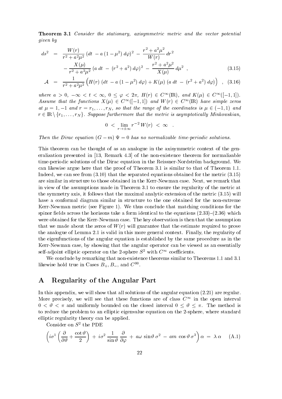**Theorem 3.1** Consider the stationary, axisymmetric metric and the vector potential given by

$$
ds^{2} = \frac{W(r)}{r^{2} + a^{2}\mu^{2}} \left(dt - a\left(1 - \mu^{2}\right)d\varphi\right)^{2} - \frac{r^{2} + a^{2}\mu^{2}}{W(r)} dr^{2}
$$

$$
-\frac{X(\mu)}{r^{2} + a^{2}\mu^{2}} \left(a\,dt - \left(r^{2} + a^{2}\right)d\varphi\right)^{2} - \frac{r^{2} + a^{2}\mu^{2}}{X(\mu)} d\mu^{2} , \tag{3.15}
$$

$$
\mathcal{A} = \frac{1}{r^2 + a^2 \mu^2} \left( H(r) \left( dt - a \left( 1 - \mu^2 \right) d\varphi \right) + K(\mu) \left( a \, dt - \left( r^2 + a^2 \right) d\varphi \right) \right) , \quad (3.16)
$$

where  $a > 0$ ,  $-\infty < i < \infty$ ,  $0 < \varphi < 2\pi$ ,  $\Pi(T) \in \mathbb{C}$  (IR), and  $\mathbb{A}(\mu) \in \mathbb{C}$  (1-1, 1). Assume that the functions  $X(\mu) \in C^{\infty}([-1,1])$  and  $W(r) \in C^{\infty}(\mathbb{R})$  have simple zeros at  $r$  , and respect to the range of the range of the range of the range of  $r$  , and  $r$  and  $r$ r strained furthermore that the metric is assumed that the metric is assumptotic is assumption of the metric is

$$
0 < \lim_{r \to \pm \infty} r^{-2} \, W(r) \, < \, \infty \quad .
$$

Then the Dirac equation  $(G - m) \Psi = 0$  has no normalizable time-periodic solutions.

This theorem can be thought of as an analogue in the axisymmetric context of the gen eralization presented in - Remark - of the nonexistence theorem for normalizable time-periodic solutions of the Dirac equation in the Reissner-Nordström background. We can likewise argue here that the proof of Theorem - is similar to that of Theorem Indeed we can see from - that the separated equations obtained for the metric are similar in structure to those obtained in the Kerr-Newman case. Next, we remark that in view of the assumptions made in Theorem - to ensure the regularity of the metric at the symmetry axis it follows that the maximal analytic extension of the maximal analytic extension of the metric  $\mathcal{L}_1$ have a conformal diagram similar in structure to the one obtained for the nonextreme Kerr-Newman metric (see Figure 1). We thus conclude that matching conditions for the spinor elds across the form in the form in the form in the equations -  $\alpha$  form  $\alpha$  ,  $\beta$  is the equations were obtained for the Kerr-Newman case. The key observation is then that the assumption that we made about the zeros of  $W(r)$  will guarantee that the estimate required to prove the analogue of Lemma 2.1 is valid in this more general context. Finally, the regularity of the eigenfunctions of the angular equation is established by the same procedure as in the Kerr-Newman case, by showing that the angular operator can be viewed as an essentially self-adjoint elliptic operator on the 2-sphere  $S^2$  with  $C^{\infty}$  coefficients.

We conclude by remarking that nonexistence theorems similar to Theorems and likewise hold true in Cases  $B_+, B_-,$  and  $C^-.$ 

## A Regularity of the Angular Part

In this appendix, we will show that all solutions of the angular equation  $(2.21)$  are regular. More precisely, we will see that these functions are of class  $C^{\infty}$  in the open interval - and uniformly bounded on the closed interval - The method is to reduce the problem to an elliptic eigenvalue equation on the 2-sphere, where standard elliptic regularity theory can be applied

Consider on  $\beta$  the PDE

$$
\left(i\sigma^1\left(\frac{\partial}{\partial\vartheta} + \frac{\cot\vartheta}{2}\right) + i\sigma^2\frac{1}{\sin\vartheta}\frac{\partial}{\partial\varphi} + a\omega\sin\vartheta\sigma^2 - am\cos\vartheta\sigma^3\right)\alpha = \lambda\alpha \quad (A.1)
$$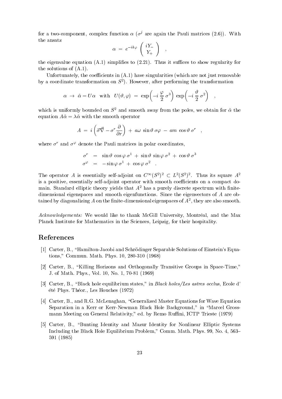for a two-component, complex function  $\alpha$  ( $\sigma^j$  are again the Pauli matrices (2.6)). With the ansatz

$$
\alpha ~=~ e^{-ik\varphi}~\left( \begin{array}{c} iY_- \\ Y_+ \end{array} \right) ~~,
$$

the eigenvalue equation  $(A.1)$  simplifies to  $(2.21)$ . Thus it suffices to show regularity for the solutions of  $(A.1)$ .

Unfortunately, the coefficients in  $(A.1)$  have singularities (which are not just removable by a coordinate transformation on S<sup>-</sup>). However, after performing the transformation

$$
\alpha \rightarrow \tilde{\alpha} = U\alpha \quad \text{with} \quad U(\vartheta,\varphi) \ = \ \exp\!\left(-i\,\frac{\varphi}{2}\,\sigma^3\right) \ \exp\!\left(-i\,\frac{\vartheta}{2}\,\sigma^2\right) \quad ,
$$

which is uniformly bounded on  $S^2$  and smooth away from the poles, we obtain for  $\tilde{\alpha}$  the equation  $A\tilde{\alpha} = \lambda \tilde{\alpha}$  with the smooth operator

$$
A = i \left( \vec{\sigma} \vec{\nabla} - \sigma^r \frac{\partial}{\partial r} \right) + a \omega \sin \vartheta \sigma \varphi - am \cos \vartheta \sigma^r ,
$$

where  $\sigma^r$  and  $\sigma^{\varphi}$  denote the Pauli matrices in polar coordinates,

$$
\sigma^r = \sin \theta \cos \varphi \sigma^1 + \sin \theta \sin \varphi \sigma^2 + \cos \theta \sigma^3
$$
  

$$
\sigma^{\varphi} = -\sin \varphi \sigma^1 + \cos \varphi \sigma^2.
$$

The operator A is essentially self-adjoint on  $C^+(S^-)$   $\subset$   $L^-(S^-)$ . Thus its square A is a positive, essentially self-adjoint operator with smooth coefficients on a compact domain. Standard elliptic theory yields that  $A^2$  has a purely discrete spectrum with finitedimensional eigenspaces and smooth eigenfunctions. Since the eigenvectors of  $A$  are ob- $\tanh$  tained by diagonalizing  $A$  on the nilite-dimensional eigenspaces of  $A^-$ , they are also smooth.

Acknowledgements: We would like to thank McGill University, Montréal, and the Max Planck Institute for Mathematics in the Sciences, Leipzig, for their hospitality.

## References

- [1] Carter, B., "Hamilton-Jacobi and Schrödinger Separable Solutions of Einstein's Equations# Commun Math Phys -
- [2] Carter, B., "Killing Horizons and Orthogonally Transitive Groups in Space-Time," J. of Math. Phys., Vol. 10, No. 1, 70-81 (1969)
- Carter B "Black hole equilibrium states# in Black holesLes astres occlus Ecole d été Phys. Théor., Les Houches (1972)
- [4] Carter, B., and R.G. McLenaghan, "Generalized Master Equations for Wave Equation Separation in a Kerr or Kerr-Newman Black Hole Background," in "Marcel Grossmann Meeting on General Relativity," ed. by Remo Ruffini, ICTP Trieste (1979)
- [5] Carter, B., "Bunting Identity and Mazur Identity for Nonlinear Elliptic Systems Including the Black Hole Equilibrium Problem# Comm Math Phys No -\$ 591 (1985)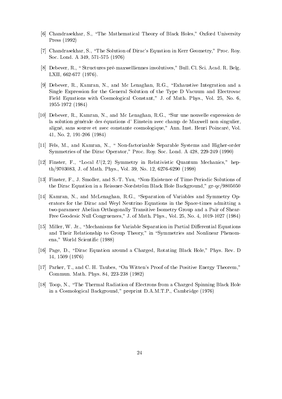- [6] Chandrasekhar, S., "The Mathematical Theory of Black Holes," Oxford University Press (1992)
- [7] Chandrasekhar, S., "The Solution of Dirac's Equation in Kerr Geometry," Proc. Roy. Soc Lond A -
- [8] Debever, R., "Structures pré-maxwelliennes involutives," Bull. Cl. Sci. Acad. R. Belg. LXII, 662-677 (1976).
- [9] Debever, R., Kamran, N., and Mc Lenaghan, R.G., "Exhaustive Integration and a Single Expression for the General Solution of the Type D Vacuum and Electrovac Field Equations with Cosmological Constant," J. of Math. Phys., Vol. 25, No.  $6$ , 1955-1972 (1984)
- [10] Debever, R., Kamran, N., and Mc Lenaghan, R.G., "Sur une nouvelle expression de la solution générale des équations d'Einstein avec champ de Maxwell non singulier, aligné, sans source et avec constante cosmologique," Ann. Inst. Henri Poincaré, Vol. 41, No. 2,  $191-206$  (1984)
- [11] Fels, M., and Kamran, N., " Non-factorizable Separable Systems and Higher-order Symmetries of the Dirac Operator," Proc. Roy. Soc. Lond. A 428, 229-249 (1990)
- [12] Finster, F., "Local  $U(2,2)$  Symmetry in Relativistic Quantum Mechanics," hepthe state of Math Phys Vol - State of Math Phys Vol - State of Math Phys Vol - State of Math Phys Vol - State o
- , and Finster F St Yau "None of Time" and St Yau "None <del>International States of Time</del>Periodic Solutions of TimePer the Dirac Equation in a Reissner-Nordström Black Hole Background,"  $gr-qc/9805050$
- [14] Kamran, N., and McLenaghan, R.G., "Separation of Variables and Symmetry Operators for the Dirac and Weyl Neutrino Equations in the Space-times admitting a twoparameer Abelian Orthogonally Transitive Isometry Group and a Pair of Shear Free Geodesic Null Congruences," J. of Math. Phys., Vol. 25, No. 4, 1019-1027 (1984)
- [15] Miller, W. Jr., "Mechanisms for Variable Separation in Partial Differential Equations and Their Relationship to Group Theory," in "Symmetries and Nonlinear Phenomena," World Scientific (1988)
- [16] Page, D., "Dirac Equation around a Charged, Rotating Black Hole," Phys. Rev. D  $14, 1509 (1976)$
- [17] Parker, T., and C. H. Taubes, "On Witten's Proof of the Positive Energy Theorem," communication of the physical contracts of the set of  $\sim$
- [18] Toop, N., "The Thermal Radiation of Electrons from a Charged Spinning Black Hole in a Cosmological Background," preprint  $D.A.M.T.P.,$  Cambridge  $(1976)$